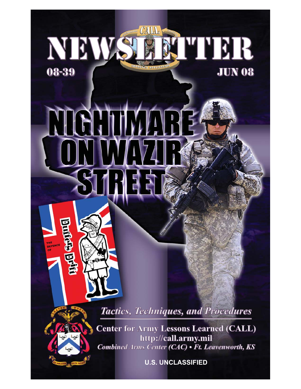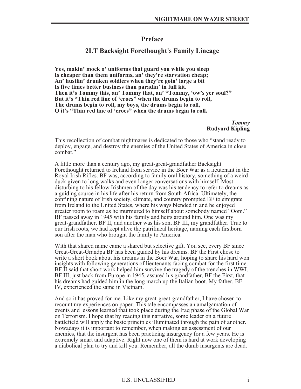## **Preface**

## **2LT Backsight Forethought's Family Lineage**

**Yes, makin' mock o' uniforms that guard you while you sleep Is cheaper than them uniforms, an' they're starvation cheap; An' hustlin' drunken soldiers when they're goin' large a bit Is five times better business than paradin' in full kit. Then it's Tommy this, an' Tommy that, an' "Tommy, 'ow's yer soul?" But it's "Thin red line of 'eroes" when the drums begin to roll, The drums begin to roll, my boys, the drums begin to roll, O it's "Thin red line of 'eroes" when the drums begin to roll.**

> *Tommy* **Rudyard Kipling**

This recollection of combat nightmares is dedicated to those who "stand ready to deploy, engage, and destroy the enemies of the United States of America in close combat."

A little more than a century ago, my great-great-grandfather Backsight Forethought returned to Ireland from service in the Boer War as a lieutenant in the Royal Irish Rifles. BF was, according to family oral history, something of a weird duck given to long walks and even longer conversations with himself. Most disturbing to his fellow Irishmen of the day was his tendency to refer to dreams as a guiding source in his life after his return from South Africa. Ultimately, the confining nature of Irish society, climate, and country prompted BF to emigrate from Ireland to the United States, where his ways blended in and he enjoyed greater room to roam as he murmured to himself about somebody named "Oom." BF passed away in 1945 with his family and heirs around him. One was my great-grandfather, BF II, and another was his son, BF III, my grandfather. True to our Irish roots, we had kept alive the patrilineal heritage, naming each firstborn son after the man who brought the family to America.

With that shared name came a shared but selective gift. You see, every BF since Great-Great-Grandpa BF has been guided by his dreams. BF the First chose to write a short book about his dreams in the Boer War, hoping to share his hard won insights with following generations of lieutenants facing combat for the first time. BF II said that short work helped him survive the tragedy of the trenches in WWI. BF III, just back from Europe in 1945, assured his grandfather, BF the First, that his dreams had guided him in the long march up the Italian boot. My father, BF IV, experienced the same in Vietnam.

And so it has proved for me. Like my great-great-grandfather, I have chosen to recount my experiences on paper. This tale encompasses an amalgamation of events and lessons learned that took place during the Iraq phase of the Global War on Terrorism. I hope that by reading this narrative, some leader on a future battlefield will apply the basic principles illuminated through the pain of another. Nowadays it is important to remember, when making an assessment of our enemies, that the insurgent has been practicing insurgency for a few years. He is extremely smart and adaptive. Right now one of them is hard at work developing a diabolical plan to try and kill you. Remember, all the dumb insurgents are dead.

#### U.S. UNCLASSIFIED i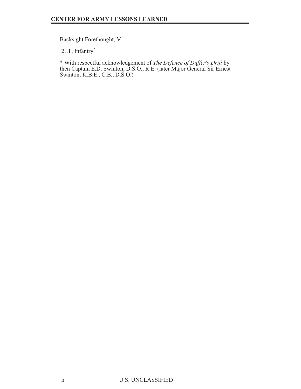Backsight Forethought, V

2LT, Infantry\*

\* With respectful acknowledgement of *The Defence of Duffer's Drift* by then Captain E.D. Swinton, D.S.O., R.E. (later Major General Sir Ernest Swinton, K.B.E., C.B., D.S.O.)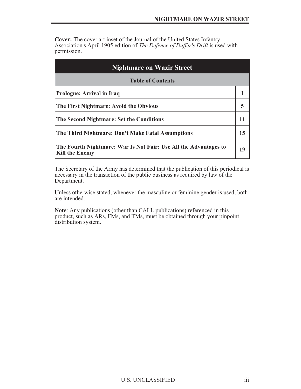**Cover:** The cover art inset of the Journal of the United States Infantry Association's April 1905 edition of *The Defence of Duffer's Drift* is used with permission.

| <b>Nightmare on Wazir Street</b>                                                          |    |
|-------------------------------------------------------------------------------------------|----|
| <b>Table of Contents</b>                                                                  |    |
| Prologue: Arrival in Iraq                                                                 |    |
| The First Nightmare: Avoid the Obvious                                                    | 5  |
| The Second Nightmare: Set the Conditions                                                  |    |
| The Third Nightmare: Don't Make Fatal Assumptions                                         | 15 |
| The Fourth Nightmare: War Is Not Fair: Use All the Advantages to<br><b>Kill the Enemy</b> | 19 |

The Secretary of the Army has determined that the publication of this periodical is necessary in the transaction of the public business as required by law of the Department.

Unless otherwise stated, whenever the masculine or feminine gender is used, both are intended.

**Note**: Any publications (other than CALL publications) referenced in this product, such as ARs, FMs, and TMs, must be obtained through your pinpoint distribution system.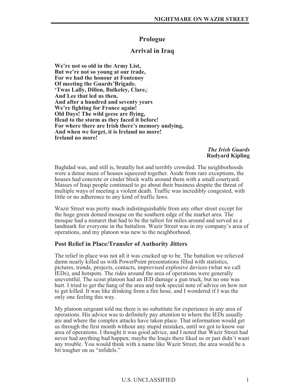## **Prologue**

## **Arrival in Iraq**

**We're not so old in the Army List, But we're not so young at our trade, For we had the honour at Fontenoy Of meeting the Guards'Brigade. 'Twas Lally, Dillon, Bulkeley, Clare,**| **And Lee that led us then, And after a hundred and seventy years We're fighting for France again! Old Days! The wild geese are flying, Head to the storm as they faced it before! For where there are Irish there's memory undying, And when we forget, it is Ireland no more! Ireland no more!**

> *The Irish Guards* **Rudyard Kipling**

Baghdad was, and still is, brutally hot and terribly crowded. The neighborhoods were a dense maze of houses squeezed together. Aside from rare exceptions, the houses had concrete or cinder block walls around them with a small courtyard. Masses of Iraqi people continued to go about their business despite the threat of multiple ways of meeting a violent death. Traffic was incredibly congested, with little or no adherence to any kind of traffic laws.

Wazir Street was pretty much indistinguishable from any other street except for the huge green domed mosque on the southern edge of the market area. The mosque had a minaret that had to be the tallest for miles around and served as a landmark for everyone in the battalion. Wazir Street was in my company's area of operations, and my platoon was new to the neighborhood.

#### **Post Relief in Place/Transfer of Authority Jitters**

The relief in place was not all it was cracked up to be. The battalion we relieved damn nearly killed us with PowerPoint presentations filled with statistics, pictures, trends, projects, contacts, improvised explosive devices (what we call IEDs), and hotspots. The rides around the area of operations were generally uneventful. The scout platoon had an IED damage a gun truck, but no one was hurt. I tried to get the hang of the area and took special note of advice on how not to get killed. It was like drinking from a fire hose, and I wondered if I was the only one feeling this way.

My platoon sergeant told me there is no substitute for experience in any area of operations. His advice was to definitely pay attention to where the IEDs usually are and where the complex attacks have taken place. That information would get us through the first month without any stupid mistakes, until we got to know our area of operations. I thought it was good advice, and I noted that Wazir Street had never had anything bad happen; maybe the Iraqis there liked us or just didn't want any trouble. You would think with a name like Wazir Street, the area would be a bit tougher on us "infidels."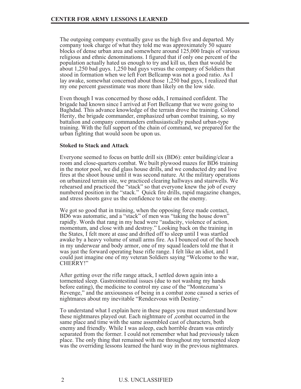The outgoing company eventually gave us the high five and departed. My company took charge of what they told me was approximately 50 square blocks of dense urban area and somewhere around 125,000 Iraqis of various religious and ethnic denominations. I figured that if only one percent of the population actually hated us enough to try and kill us, then that would be about 1,250 bad guys. 1,250 bad guys versus the company of Soldiers that stood in formation when we left Fort Bellcamp was not a good ratio. As I lay awake, somewhat concerned about those 1,250 bad guys, I realized that my one percent guesstimate was more than likely on the low side.

Even though I was concerned by those odds, I remained confident. The brigade had known since I arrived at Fort Bellcamp that we were going to Baghdad. This advance knowledge of the terrain drove the training. Colonel Herity, the brigade commander, emphasized urban combat training, so my battalion and company commanders enthusiastically pushed urban-type training. With the full support of the chain of command, we prepared for the urban fighting that would soon be upon us.

#### **Stoked to Stack and Attack**

Everyone seemed to focus on battle drill six (BD6): enter building/clear a room and close-quarters combat. We built plywood mazes for BD6 training in the motor pool, we did glass house drills, and we conducted dry and live fires at the shoot house until it was second nature. At the military operations on urbanized terrain site, we practiced clearing hallways and stairwells. We rehearsed and practiced the "stack" so that everyone knew the job of every numbered position in the "stack." Quick fire drills, rapid magazine changes, and stress shoots gave us the confidence to take on the enemy.

We got so good that in training, when the opposing force made contact, BD6 was automatic, and a "stack" of men was "taking the house down" rapidly. Words that rang in my head were "audacity, violence of action, momentum, and close with and destroy." Looking back on the training in the States, I felt more at ease and drifted off to sleep until I was startled awake by a heavy volume of small arms fire. As I bounced out of the hooch in my underwear and body armor, one of my squad leaders told me that it was just the forward operating base rifle range. I felt like an idiot, and I could just imagine one of my veteran Soldiers saying "Welcome to the war, CHERRY!"

After getting over the rifle range attack, I settled down again into a tormented sleep. Gastrointestinal issues (due to not washing my hands before eating), the medicine to control my case of the "Montezuma's Revenge," and the anxiousness of being in a combat zone caused a series of nightmares about my inevitable "Rendezvous with Destiny."

To understand what I explain here in these pages you must understand how these nightmares played out. Each nightmare of ,combat occurred in the same place and time with the same assembled cast of characters, both enemy and friendly. While I was asleep, each horrible dream was entirely separated from the former. I could not remember what had previously taken place. The only thing that remained with me throughout my tormented sleep was the overriding lessons learned the hard way in the previous nightmares.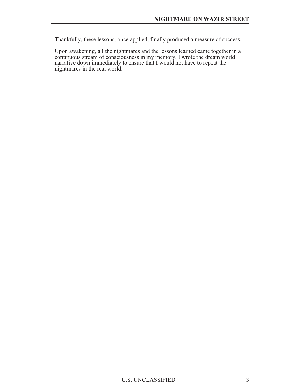Thankfully, these lessons, once applied, finally produced a measure of success.

Upon awakening, all the nightmares and the lessons learned came together in a continuous stream of consciousness in my memory. I wrote the dream world narrative down immediately to ensure that I would not have to repeat the nightmares in the real world.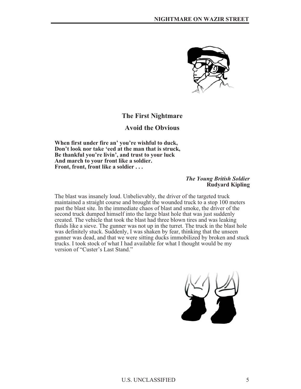

# **The First Nightmare**

# **Avoid the Obvious**

**When first under fire an' you're wishful to duck, Don't look nor take 'eed at the man that is struck, Be thankful you're livin', and trust to your luck And march to your front like a soldier. Front, front, front like a soldier...**

#### *The Young British Soldier* **Rudyard Kipling**

The blast was insanely loud. Unbelievably, the driver of the targeted truck maintained a straight course and brought the wounded truck to a stop 100 meters past the blast site. In the immediate chaos of blast and smoke, the driver of the second truck dumped himself into the large blast hole that was just suddenly created. The vehicle that took the blast had three blown tires and was leaking fluids like a sieve. The gunner was not up in the turret. The truck in the blast hole was definitely stuck. Suddenly, I was shaken by fear, thinking that the unseen gunner was dead, and that we were sitting ducks immobilized by broken and stuck trucks. I took stock of what I had available for what I thought would be my version of "Custer's Last Stand."

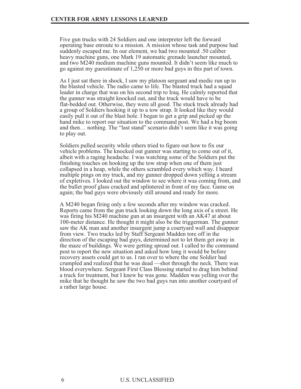Five gun trucks with 24 Soldiers and one interpreter left the forward operating base enroute to a mission. A mission whose task and purpose had suddenly escaped me. In our element, we had two mounted .50 caliber heavy machine guns, one Mark 19 automatic grenade launcher mounted, and two M240 medium machine guns mounted. It didn't seem like much to go against my guesstimate of 1,250 or more bad guys in this part of town.

As I just sat there in shock, I saw my platoon sergeant and medic run up to the blasted vehicle. The radio came to life. The blasted truck had a squad leader in charge that was on his second trip to Iraq. He calmly reported that the gunner was straight knocked out, and the truck would have to be flat-bedded out. Otherwise, they were all good. The stuck truck already had a group of Soldiers hooking it up to a tow strap. It looked like they would easily pull it out of the blast hole. I began to get a grip and picked up the hand mike to report our situation to the command post. We had a big boom and then… nothing. The "last stand" scenario didn't seem like it was going to play out.

Soldiers pulled security while others tried to figure out how to fix our vehicle problems. The knocked out gunner was starting to come out of it, albeit with a raging headache. I was watching some of the Soldiers put the finishing touches on hooking up the tow strap when one of them just collapsed in a heap, while the others scrambled every which way. I heard multiple pings on my truck, and my gunner dropped down yelling a stream of expletives. I looked out the window to see where it was coming from, and the bullet proof glass cracked and splintered in front of my face. Game on again; the bad guys were obviously still around and ready for more.

A M240 began firing only a few seconds after my window was cracked. Reports came from the gun truck looking down the long axis of a street. He was firing his M240 machine gun at an insurgent with an AK47 at about 100-meter distance. He thought it might also be the triggerman. The gunner saw the AK man and another insurgent jump a courtyard wall and disappear from view. Two trucks led by Staff Sergeant Madden tore off in the direction of the escaping bad guys, determined not to let them get away in the maze of buildings. We were getting spread out. I called to the command post to report the new situation and asked how long it would be before recovery assets could get to us. I ran over to where the one Soldier had crumpled and realized that he was dead —shot through the neck. There was blood everywhere. Sergeant First Class Blessing started to drag him behind a truck for treatment, but I knew he was gone. Madden was yelling over the mike that he thought he saw the two bad guys run into another courtyard of a rather large house.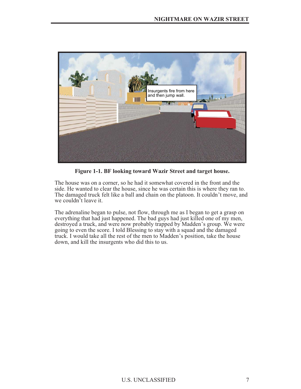

**Figure 1-1. BF looking toward Wazir Street and target house.**

The house was on a corner, so he had it somewhat covered in the front and the side. He wanted to clear the house, since he was certain this is where they ran to. The damaged truck felt like a ball and chain on the platoon. It couldn't move, and we couldn't leave it.

The adrenaline began to pulse, not flow, through me as I began to get a grasp on everything that had just happened. The bad guys had just killed one of my men, destroyed a truck, and were now probably trapped by Madden's group. We were going to even the score. I told Blessing to stay with a squad and the damaged truck. I would take all the rest of the men to Madden's position, take the house down, and kill the insurgents who did this to us.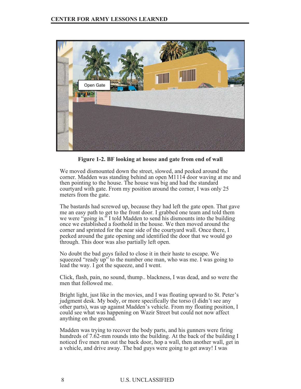

**Figure 1-2. BF looking at house and gate from end of wall**

We moved dismounted down the street, slowed, and peeked around the corner. Madden was standing behind an open M1114 door waving at me and then pointing to the house. The house was big and had the standard courtyard with gate. From my position around the corner, I was only 25 meters from the gate.

The bastards had screwed up, because they had left the gate open. That gave me an easy path to get to the front door. I grabbed one team and told them we were "going in." I told Madden to send his dismounts into the building once we established a foothold in the house. We then moved around the corner and sprinted for the near side of the courtyard wall. Once there, I peeked around the gate opening and identified the door that we would go through. This door was also partially left open.

No doubt the bad guys failed to close it in their haste to escape. We squeezed "ready up" to the number one man, who was me. I was going to lead the way. I got the squeeze, and I went.

Click, flash, pain, no sound, thump.. blackness, I was dead, and so were the men that followed me.

Bright light, just like in the movies, and I was floating upward to St. Peter's judgment desk. My body, or more specifically the torso (I didn't see any other parts), was up against Madden's vehicle. From my floating position, I could see what was happening on Wazir Street but could not now affect anything on the ground.

Madden was trying to recover the body parts, and his gunners were firing hundreds of 7.62-mm rounds into the building. At the back of the building I noticed five men run out the back door, hop a wall, then another wall, get in a vehicle, and drive away. The bad guys were going to get away! I was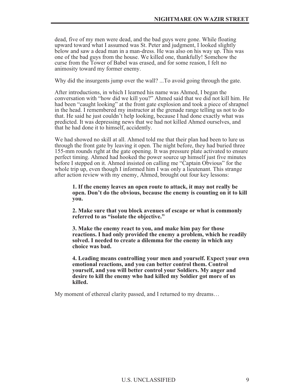dead, five of my men were dead, and the bad guys were gone. While floating upward toward what I assumed was St. Peter and judgment, I looked slightly below and saw a dead man in a man-dress. He was also on his way up. This was one of the bad guys from the house. We killed one, thankfully! Somehow the curse from the Tower of Babel was erased, and for some reason, I felt no animosity toward my former enemy.

Why did the insurgents jump over the wall? ...To avoid going through the gate.

After introductions, in which I learned his name was Ahmed, I began the conversation with "how did we kill you?" Ahmed said that we did not kill him. He had been "caught looking" at the front gate explosion and took a piece of shrapnel in the head. I remembered my instructor at the grenade range telling us not to do that. He said he just couldn't help looking, because I had done exactly what was predicted. It was depressing news that we had not killed Ahmed ourselves, and that he had done it to himself, accidently.

We had showed no skill at all. Ahmed told me that their plan had been to lure us through the front gate by leaving it open. The night before, they had buried three 155-mm rounds right at the gate opening. It was pressure plate activated to ensure perfect timing. Ahmed had hooked the power source up himself just five minutes before I stepped on it. Ahmed insisted on calling me "Captain Obvious" for the whole trip up, even though I informed him I was only a lieutenant. This strange after action review with my enemy, Ahmed, brought out four key lessons:

**1. If the enemy leaves an open route to attack, it may not really be open. Don't do the obvious, because the enemy is counting on it to kill you.**

**2. Make sure that you block avenues of escape or what is commonly referred to as "isolate the objective."**

**3. Make the enemy react to you, and make him pay for those reactions. I had only provided the enemy a problem, which he readily solved. I needed to create a dilemma for the enemy in which any choice was bad.**

**4. Leading means controlling your men and yourself. Expect your own emotional reactions, and you can better control them. Control yourself, and you will better control your Soldiers. My anger and desire to kill the enemy who had killed my Soldier got more of us killed.**

My moment of ethereal clarity passed, and I returned to my dreams…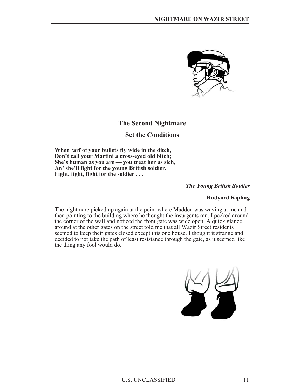

# **The Second Nightmare**

## **Set the Conditions**

**When 'arf of your bullets fly wide in the ditch, Don't call your Martini a cross-eyed old bitch; She's human as you are — you treat her as sich, An' she'll fight for the young British soldier. Fight, fight, fight for the soldier...**

*The Young British Soldier*

#### **Rudyard Kipling**

The nightmare picked up again at the point where Madden was waving at me and then pointing to the building where he thought the insurgents ran. I peeked around the corner of the wall and noticed the front gate was wide open. A quick glance around at the other gates on the street told me that all Wazir Street residents seemed to keep their gates closed except this one house. I thought it strange and decided to not take the path of least resistance through the gate, as it seemed like the thing any fool would do.

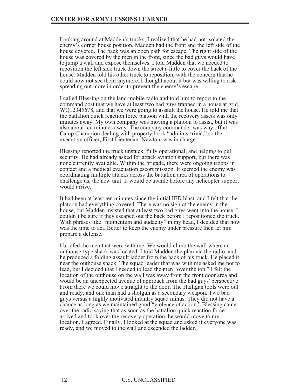Looking around at Madden's trucks, I realized that he had not isolated the enemy's corner house position. Madden had the front and the left side of the house covered. The back was an open path for escape. The right side of the house was covered by the men in the front, since the bad guys would have to jump a wall and expose themselves. I told Madden that we needed to reposition the left side truck down the street a little to cover the back of the house. Madden told his other truck to reposition, with the concern that he could now not see them anymore. I thought about it but was willing to risk spreading out more in order to prevent the enemy's escape.

I called Blessing on the land mobile radio and told him to report to the command post that we have at least two bad guys trapped in a house at grid WQ12345678, and that we were going to assault the house. He told me that the battalion quick reaction force platoon with the recovery assets was only minutes away. My own company was moving a platoon to assist, but it was also about ten minutes away. The company commander was way off at Camp Champion dealing with property book "adminis-trivia," so the executive officer, First Lieutenant Newton, was in charge.

Blessing reported the truck unstuck, fully operational, and helping to pull security. He had already asked for attack aviation support, but there was none currently available. Within the brigade, there were ongoing troops in contact and a medical evacuation escort mission. It seemed the enemy was coordinating multiple attacks across the battalion area of operations to challenge us, the new unit. It would be awhile before any helicopter support would arrive.

It had been at least ten minutes since the initial IED blast, and I felt that the platoon had everything covered. There was no sign of the enemy in the house, but Madden insisted that at least two bad guys went into the house. I couldn't be sure if they escaped out the back before I repositioned the truck. With phrases like "momentum and audacity" in my head, I decided that now was the time to act. Better to keep the enemy under pressure then let him prepare a defense.

I briefed the men that were with me. We would climb the wall where an outhouse-type shack was located. I told Madden the plan via the radio, and he produced a folding assault ladder from the back of his truck. He placed it near the outhouse shack. The squad leader that was with me asked me not to lead, but I decided that I needed to lead the men "over the top." I felt the location of the outhouse on the wall was away from the front door area and would be an unexpected avenue of approach from the bad guys' perspective. From there we could move straight to the door. The Halligan tools were out and ready, and one man had a shotgun as a secondary weapon. Two bad guys versus a highly motivated infantry squad minus. They did not have a chance as long as we maintained good "violence of action." Blessing came over the radio saying that as soon as the battalion quick reaction force arrived and took over the recovery operation, he would move to my location. I agreed. Finally, I looked at the squad and asked if everyone was ready, and we moved to the wall and ascended the ladder.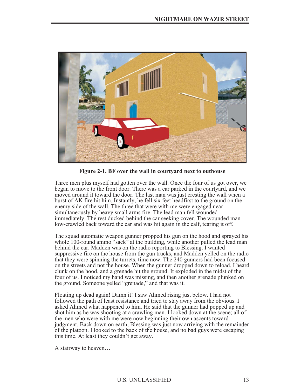

**Figure 2-1. BF over the wall in courtyard next to outhouse**

Three men plus myself had gotten over the wall. Once the four of us got over, we began to move to the front door. There was a car parked in the courtyard, and we moved around it toward the door. The last man was just cresting the wall when a burst of AK fire hit him. Instantly, he fell six feet headfirst to the ground on the enemy side of the wall. The three that were with me were engaged near simultaneously by heavy small arms fire. The lead man fell wounded immediately. The rest ducked behind the car seeking cover. The wounded man low-crawled back toward the car and was hit again in the calf, tearing it off.

The squad automatic weapon gunner propped his gun on the hood and sprayed his whole 100-round ammo "sack" at the building, while another pulled the lead man behind the car. Madden was on the radio reporting to Blessing. I wanted suppressive fire on the house from the gun trucks, and Madden yelled on the radio that they were spinning the turrets, time now. The 240 gunners had been focused on the streets and not the house. When the gunner dropped down to reload, I heard clunk on the hood, and a grenade hit the ground. It exploded in the midst of the four of us. I noticed my hand was missing, and then another grenade plunked on the ground. Someone yelled "grenade," and that was it.

Floating up dead again! Damn it! I saw Ahmed rising just below. I had not followed the path of least resistance and tried to stay away from the obvious. I asked Ahmed what happened to him. He said that the gunner had popped up and shot him as he was shooting at a crawling man. I looked down at the scene; all of the men who were with me were now beginning their own ascents toward judgment. Back down on earth, Blessing was just now arriving with the remainder of the platoon. I looked to the back of the house, and no bad guys were escaping this time. At least they couldn't get away.

A stairway to heaven…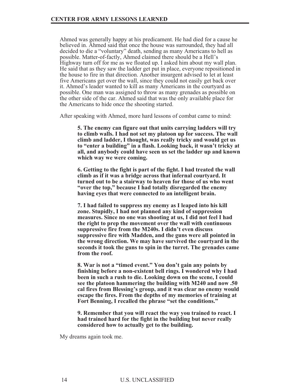Ahmed was generally happy at his predicament. He had died for a cause he believed in. Ahmed said that once the house was surrounded, they had all decided to die a "voluntary" death, sending as many Americans to hell as possible. Matter-of-factly, Ahmed claimed there should be a Hell's Highway turn off for me as we floated up. I asked him about my wall plan. He said that as they saw the ladder get put in place, everyone repositioned in the house to fire in that direction. Another insurgent advised to let at least five Americans get over the wall, since they could not easily get back over it. Ahmed's leader wanted to kill as many Americans in the courtyard as possible. One man was assigned to throw as many grenades as possible on the other side of the car. Ahmed said that was the only available place for the Americans to hide once the shooting started.

After speaking with Ahmed, more hard lessons of combat came to mind:

**5. The enemy can figure out that units carrying ladders will try to climb walls. I had not set my platoon up for success. The wall climb and ladder, I thought, was really tricky and would get us to "enter a building" in a flash. Looking back, it wasn't tricky at all, and anybody could have seen us set the ladder up and known which way we were coming.**

**6. Getting to the fight is part of the fight. I had treated the wall climb as if it was a bridge across that infernal courtyard. It turned out to be a stairway to heaven for those of us who went "over the top," because I had totally disregarded the enemy having eyes that were connected to an intelligent brain.**

**7. I had failed to suppress my enemy as I leaped into his kill zone. Stupidly, I had not planned any kind of suppression measures. Since no one was shooting at us, I did not feel I had the right to prep the movement over the wall with continuous suppressive fire from the M240s. I didn't even discuss suppressive fire with Madden, and the guns were all pointed in the wrong direction. We may have survived the courtyard in the seconds it took the guns to spin in the turret. The grenades came from the roof.**

**8. War is not a "timed event." You don't gain any points by finishing before a non-existent bell rings. I wondered why I had been in such a rush to die. Looking down on the scene, I could see the platoon hammering the building with M240 and now .50 cal fires from Blessing's group, and it was clear no enemy would escape the fires. From the depths of my memories of training at Fort Benning, I recalled the phrase "set the conditions."**

**9. Remember that you will react the way you trained to react. I had trained hard for the fight in the building but never really considered how to actually get to the building.**

My dreams again took me.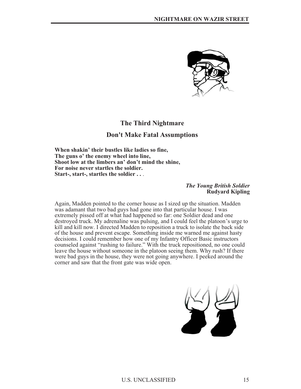

## **The Third Nightmare**

## **Don't Make Fatal Assumptions**

**When shakin' their bustles like ladies so fine, The guns o' the enemy wheel into line, Shoot low at the limbers an' don't mind the shine, For noise never startles the soldier. Start-, start-, startles the soldier . .** .

#### *The Young British Soldier* **Rudyard Kipling**

Again, Madden pointed to the corner house as I sized up the situation. Madden was adamant that two bad guys had gone into that particular house. I was extremely pissed off at what had happened so far: one Soldier dead and one destroyed truck. My adrenaline was pulsing, and I could feel the platoon's urge to kill and kill now. I directed Madden to reposition a truck to isolate the back side of the house and prevent escape. Something inside me warned me against hasty decisions. I could remember how one of my Infantry Officer Basic instructors counseled against "rushing to failure." With the truck repositioned, no one could leave the house without someone in the platoon seeing them. Why rush? If there were bad guys in the house, they were not going anywhere. I peeked around the corner and saw that the front gate was wide open.

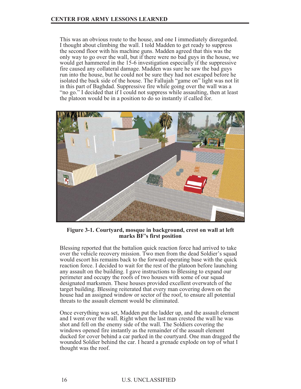This was an obvious route to the house, and one I immediately disregarded. I thought about climbing the wall. I told Madden to get ready to suppress the second floor with his machine guns. Madden agreed that this was the only way to go over the wall, but if there were no bad guys in the house, we would get hammered in the 15-6 investigation especially if the suppressive fire caused any collateral damage. Madden was sure he saw the bad guys run into the house, but he could not be sure they had not escaped before he isolated the back side of the house. The Fallujah "game on" light was not lit in this part of Baghdad. Suppressive fire while going over the wall was a "no go." I decided that if I could not suppress while assaulting, then at least the platoon would be in a position to do so instantly if called for.



**Figure 3-1. Courtyard, mosque in background, crest on wall at left marks BF's first position**

Blessing reported that the battalion quick reaction force had arrived to take over the vehicle recovery mission. Two men from the dead Soldier's squad would escort his remains back to the forward operating base with the quick reaction force. I decided to wait for the rest of the platoon before launching any assault on the building. I gave instructions to Blessing to expand our perimeter and occupy the roofs of two houses with some of our squad designated marksmen. These houses provided excellent overwatch of the target building. Blessing reiterated that every man covering down on the house had an assigned window or sector of the roof, to ensure all potential threats to the assault element would be eliminated.

Once everything was set, Madden put the ladder up, and the assault element and I went over the wall. Right when the last man crested the wall he was shot and fell on the enemy side of the wall. The Soldiers covering the windows opened fire instantly as the remainder of the assault element ducked for cover behind a car parked in the courtyard. One man dragged the wounded Soldier behind the car. I heard a grenade explode on top of what I thought was the roof.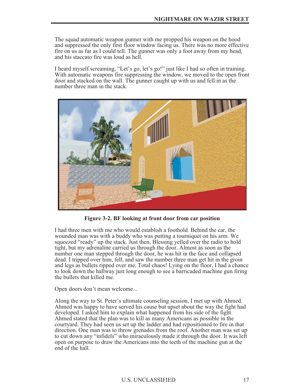The squad automatic weapon gunner with me propped his weapon on the hood and suppressed the only first floor window facing us. There was no more effective fire on us as far as I could tell. The gunner was only a foot away from my head, and his staccato fire was loud as hell.

I heard myself screaming, "Let's go, let's go!" just like I had so often in training. With automatic weapons fire suppressing the window, we moved to the open front door and stacked on the wall. The gunner caught up with us and fell in as the number three man in the stack.



**Figure 3-2. BF looking at front door from car position**

I had three men with me who would establish a foothold. Behind the car, the wounded man was with a buddy who was putting a tourniquet on his arm. We squeezed "ready" up the stack. Just then, Blessing yelled over the radio to hold tight, but my adrenaline carried us through the door. Almost as soon as the number one man stepped through the door, he was hit in the face and collapsed dead. I tripped over him, fell, and saw the number three man get hit in the groin and legs as bullets ripped over me. Total chaos! Lying on the floor, I had a chance to look down the hallway just long enough to see a barricaded machine gun firing the bullets that killed me.

Open doors don't mean welcome...

Along the way to St. Peter's ultimate counseling session, I met up with Ahmed. Ahmed was happy to have served his cause but upset about the way the fight had developed. I asked him to explain what happened from his side of the fight. Ahmed stated that the plan was to kill as many Americans as possible in the courtyard. They had seen us set up the ladder and had repositioned to fire in that direction. One man was to throw grenades from the roof. Another man was set up to cut down any "infidels" who miraculously made it through the door. It was left open on purpose to draw the Americans into the teeth of the machine gun at the end of the hall.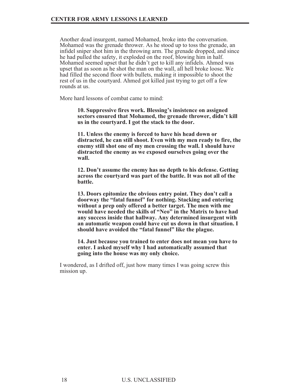Another dead insurgent, named Mohamed, broke into the conversation. Mohamed was the grenade thrower. As he stood up to toss the grenade, an infidel sniper shot him in the throwing arm. The grenade dropped, and since he had pulled the safety, it exploded on the roof, blowing him in half. Mohamed seemed upset that he didn't get to kill any infidels. Ahmed was upset that as soon as he shot the man on the wall, all hell broke loose. We had filled the second floor with bullets, making it impossible to shoot the rest of us in the courtyard. Ahmed got killed just trying to get off a few rounds at us.

More hard lessons of combat came to mind:

**10. Suppressive fires work. Blessing's insistence on assigned sectors ensured that Mohamed, the grenade thrower, didn't kill us in the courtyard. I got the stack to the door.**

**11. Unless the enemy is forced to have his head down or distracted, he can still shoot. Even with my men ready to fire, the enemy still shot one of my men crossing the wall. I should have distracted the enemy as we exposed ourselves going over the wall.**

**12. Don't assume the enemy has no depth to his defense. Getting across the courtyard was part of the battle. It was not all of the battle.**

**13. Doors epitomize the obvious entry point. They don't call a doorway the "fatal funnel" for nothing. Stacking and entering without a prep only offered a better target. The men with me would have needed the skills of "Neo" in the Matrix to have had any success inside that hallway. Any determined insurgent with an automatic weapon could have cut us down in that situation. I should have avoided the "fatal funnel" like the plague.**

**14. Just because you trained to enter does not mean you have to enter. I asked myself why I had automatically assumed that going into the house was my only choice.**

I wondered, as I drifted off, just how many times I was going screw this mission up.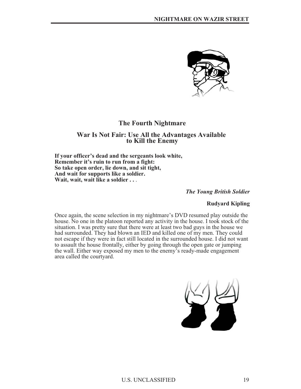

# **The Fourth Nightmare**

# **War Is Not Fair: Use All the Advantages Available to Kill the Enemy**

**If your officer's dead and the sergeants look white, Remember it's ruin to run from a fight: So take open order, lie down, and sit tight, And wait for supports like a soldier. Wait, wait, wait like a soldier . .** .

*The Young British Soldier*

#### **Rudyard Kipling**

Once again, the scene selection in my nightmare's DVD resumed play outside the house. No one in the platoon reported any activity in the house. I took stock of the situation. I was pretty sure that there were at least two bad guys in the house we had surrounded. They had blown an IED and killed one of my men. They could not escape if they were in fact still located in the surrounded house. I did not want to assault the house frontally, either by going through the open gate or jumping the wall. Either way exposed my men to the enemy's ready-made engagement area called the courtyard.

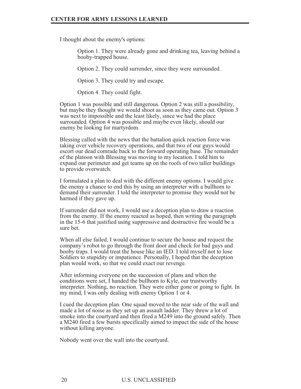I thought about the enemy's options:

Option 1. They were already gone and drinking tea, leaving behind a booby-trapped house.

Option 2. They could surrender, since they were surrounded.

Option 3. They could try and escape.

Option 4. They could fight.

Option 1 was possible and still dangerous. Option 2 was still a possibility, but maybe they thought we would shoot as soon as they came out. Option 3 was next to impossible and the least likely, since we had the place surrounded. Option 4 was possible and maybe even likely, should our enemy be looking for martyrdom.

Blessing called with the news that the battalion quick reaction force was taking over vehicle recovery operations, and that two of our guys would escort our dead comrade back to the forward operating base. The remainder of the platoon with Blessing was moving to my location. I told him to expand our perimeter and get teams up on the roofs of two taller buildings to provide overwatch.

I formulated a plan to deal with the different enemy options. I would give the enemy a chance to end this by using an interpreter with a bullhorn to demand their surrender. I told the interpreter to promise they would not be harmed if they gave up.

If surrender did not work, I would use a deception plan to draw a reaction from the enemy. If the enemy reacted as hoped, then writing the paragraph in the 15-6 that justified using suppressive and destructive fire would be a sure bet.

When all else failed, I would continue to secure the house and request the company's robot to go through the front door and check for bad guys and booby traps. I would treat the house like an IED. I told myself not to lose Soldiers to stupidity or impatience. Personally, I hoped that the deception plan would work, so that we could exact our revenge.

After informing everyone on the succession of plans and when the conditions were set, I handed the bullhorn to Kyle, our trustworthy interpreter. Nothing, no reaction. They were either gone or going to fight. In my mind, I was only dealing with enemy Option 1 or 4.

I cued the deception plan. One squad moved to the near side of the wall and made a lot of noise as they set up an assault ladder. They threw a lot of smoke into the courtyard and then fired a M249 into the ground safely. Then a M240 fired a few bursts specifically aimed to impact the side of the house without killing anyone.

Nobody went over the wall into the courtyard.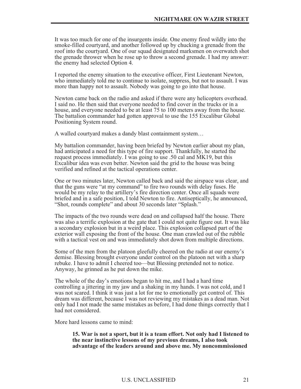It was too much for one of the insurgents inside. One enemy fired wildly into the smoke-filled courtyard, and another followed up by chucking a grenade from the roof into the courtyard. One of our squad designated marksmen on overwatch shot the grenade thrower when he rose up to throw a second grenade. I had my answer: the enemy had selected Option 4.

I reported the enemy situation to the executive officer, First Lieutenant Newton, who immediately told me to continue to isolate, suppress, but not to assault. I was more than happy not to assault. Nobody was going to go into that house.

Newton came back on the radio and asked if there were any helicopters overhead. I said no. He then said that everyone needed to find cover in the trucks or in a house, and everyone needed to be at least 75 to 100 meters away from the house. The battalion commander had gotten approval to use the 155 Excalibur Global Positioning System round.

A walled courtyard makes a dandy blast containment system…

My battalion commander, having been briefed by Newton earlier about my plan, had anticipated a need for this type of fire support. Thankfully, he started the request process immediately. I was going to use .50 cal and MK19, but this Excalibur idea was even better. Newton said the grid to the house was being verified and refined at the tactical operations center.

One or two minutes later, Newton called back and said the airspace was clear, and that the guns were "at my command" to fire two rounds with delay fuses. He would be my relay to the artillery's fire direction center. Once all squads were briefed and in a safe position, I told Newton to fire. Antiseptically, he announced, "Shot, rounds complete" and about 30 seconds later "Splash."

The impacts of the two rounds were dead on and collapsed half the house. There was also a terrific explosion at the gate that I could not quite figure out. It was like a secondary explosion but in a weird place. This explosion collapsed part of the exterior wall exposing the front of the house. One man crawled out of the rubble with a tactical vest on and was immediately shot down from multiple directions.

Some of the men from the platoon gleefully cheered on the radio at our enemy's demise. Blessing brought everyone under control on the platoon net with a sharp rebuke. I have to admit I cheered too—but Blessing pretended not to notice. Anyway, he grinned as he put down the mike.

The whole of the day's emotions began to hit me, and I had a hard time controlling a jittering in my jaw and a shaking in my hands. I was not cold, and I was not scared. I think it was just a lot for me to emotionally get control of. This dream was different, because I was not reviewing my mistakes as a dead man. Not only had I not made the same mistakes as before, I had done things correctly that I had not considered.

More hard lessons came to mind:

**15. War is not a sport, but it is a team effort. Not only had I listened to the near instinctive lessons of my previous dreams, I also took advantage of the leaders around and above me. My noncommissioned**

#### U.S. UNCLASSIFIED 21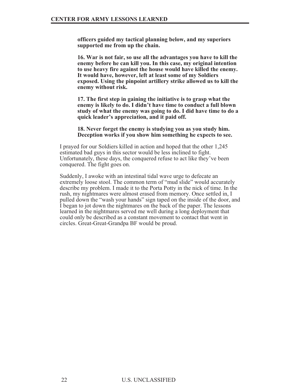**officers guided my tactical planning below, and my superiors supported me from up the chain.**

**16. War is not fair, so use all the advantages you have to kill the enemy before he can kill you. In this case, my original intention to use heavy fire against the house would have killed the enemy. It would have, however, left at least some of my Soldiers exposed. Using the pinpoint artillery strike allowed us to kill the enemy without risk.**

**17. The first step in gaining the initiative is to grasp what the enemy is likely to do. I didn't have time to conduct a full blown study of what the enemy was going to do. I did have time to do a quick leader's appreciation, and it paid off.**

**18. Never forget the enemy is studying you as you study him. Deception works if you show him something he expects to see.**

I prayed for our Soldiers killed in action and hoped that the other 1,245 estimated bad guys in this sector would be less inclined to fight. Unfortunately, these days, the conquered refuse to act like they've been conquered. The fight goes on.

Suddenly, I awoke with an intestinal tidal wave urge to defecate an extremely loose stool. The common term of "mud slide" would accurately describe my problem. I made it to the Porta Potty in the nick of time. In the rush, my nightmares were almost erased from memory. Once settled in, I pulled down the "wash your hands" sign taped on the inside of the door, and I began to jot down the nightmares on the back of the paper. The lessons learned in the nightmares served me well during a long deployment that could only be described as a constant movement to contact that went in circles. Great-Great-Grandpa BF would be proud.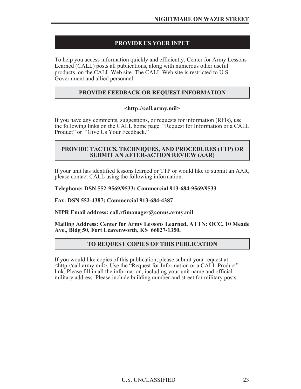# **PROVIDE US YOUR INPUT**

To help you access information quickly and efficiently, Center for Army Lessons Learned (CALL) posts all publications, along with numerous other useful products, on the CALL Web site. The CALL Web site is restricted to U.S. Government and allied personnel.

## **PROVIDE FEEDBACK OR REQUEST INFORMATION**

## **<http://call.army.mil>**

If you have any comments, suggestions, or requests for information (RFIs), use the following links on the CALL home page: "Request for Information or a CALL Product" or "Give Us Your Feedback."

## **PROVIDE TACTICS, TECHNIQUES, AND PROCEDURES (TTP) OR SUBMIT AN AFTER-ACTION REVIEW (AAR)**

If your unit has identified lessons learned or TTP or would like to submit an AAR, please contact CALL using the following information:

**Telephone: DSN 552-9569/9533; Commercial 913-684-9569/9533**

**Fax: DSN 552-4387; Commercial 913-684-4387**

**NIPR Email address: call.rfimanager@conus.army.mil**

**Mailing Address: Center for Army Lessons Learned, ATTN: OCC, 10 Meade Ave., Bldg 50, Fort Leavenworth, KS 66027-1350.**

## **TO REQUEST COPIES OF THIS PUBLICATION**

If you would like copies of this publication, please submit your request at: <http://call.army.mil>. Use the "Request for Information or a CALL Product" link. Please fill in all the information, including your unit name and official military address. Please include building number and street for military posts.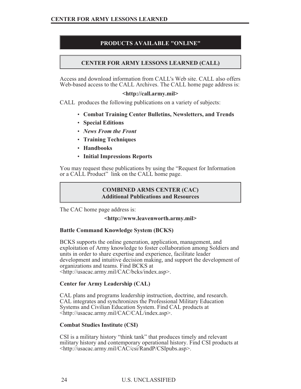# **PRODUCTS AVAILABLE "ONLINE"**

# **CENTER FOR ARMY LESSONS LEARNED (CALL)**

Access and download information from CALL's Web site. CALL also offers Web-based access to the CALL Archives. The CALL home page address is:

#### **<http://call.army.mil>**

CALL produces the following publications on a variety of subjects:

- **Combat Training Center Bulletins, Newsletters, and Trends**
- **Special Editions**
- *News From the Front*
- **Training Techniques**
- **Handbooks**
- **Initial Impressions Reports**

You may request these publications by using the "Request for Information or a CALL Product" link on the CALL home page.

## **COMBINED ARMS CENTER (CAC) Additional Publications and Resources**

The CAC home page address is:

#### **<http://www.leavenworth.army.mil>**

## **Battle Command Knowledge System (BCKS)**

BCKS supports the online generation, application, management, and exploitation of Army knowledge to foster collaboration among Soldiers and units in order to share expertise and experience, facilitate leader development and intuitive decision making, and support the development of organizations and teams. Find BCKS at <http://usacac.army.mil/CAC/bcks/index.asp>.

## **Center for Army Leadership (CAL)**

CAL plans and programs leadership instruction, doctrine, and research. CAL integrates and synchronizes the Professional Military Education Systems and Civilian Education System. Find CAL products at <http://usacac.army.mil/CAC/CAL/index.asp>.

## **Combat Studies Institute (CSI)**

CSI is a military history "think tank" that produces timely and relevant military history and contemporary operational history. Find CSI products at <http://usacac.army.mil/CAC/csi/RandP/CSIpubs.asp>.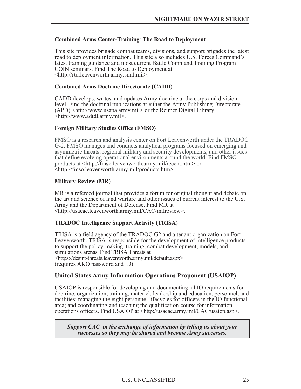#### **Combined Arms Center-Training**: **The Road to Deployment**

This site provides brigade combat teams, divisions, and support brigades the latest road to deployment information. This site also includes U.S. Forces Command's latest training guidance and most current Battle Command Training Program COIN seminars. Find The Road to Deployment at <http://rtd.leavenworth.army.smil.mil>.

#### **Combined Arms Doctrine Directorate (CADD)**

CADD develops, writes, and updates Army doctrine at the corps and division level. Find the doctrinal publications at either the Army Publishing Directorate (APD) <http://www.usapa.army.mil> or the Reimer Digital Library <http://www.adtdl.army.mil>.

#### **Foreign Military Studies Office (FMSO)**

FMSO is a research and analysis center on Fort Leavenworth under the TRADOC G-2. FMSO manages and conducts analytical programs focused on emerging and asymmetric threats, regional military and security developments, and other issues that define evolving operational environments around the world. Find FMSO products at <http://fmso.leavenworth.army.mil/recent.htm> or <http://fmso.leavenworth.army.mil/products.htm>.

#### **Military Review (MR)**

MR is a refereed journal that provides a forum for original thought and debate on the art and science of land warfare and other issues of current interest to the U.S. Army and the Department of Defense. Find MR at <http://usacac.leavenworth.army.mil/CAC/milreview>.

## **TRADOC Intelligence Support Activity (TRISA)**

TRISA is a field agency of the TRADOC G2 and a tenant organization on Fort Leavenworth. TRISA is responsible for the development of intelligence products to support the policy-making, training, combat development, models, and simulations arenas. Find TRISA Threats at <https://dcsint-threats.leavenworth.army.mil/default.aspx> (requires AKO password and ID).

## **United States Army Information Operations Proponent (USAIOP)**

USAIOP is responsible for developing and documenting all IO requirements for doctrine, organization, training, materiel, leadership and education, personnel, and facilities; managing the eight personnel lifecycles for officers in the IO functional area; and coordinating and teaching the qualification course for information operations officers. Find USAIOP at <http://usacac.army.mil/CAC/usaiop.asp>.

*Support CAC in the exchange of information by telling us about your successes so they may be shared and become Army successes.*